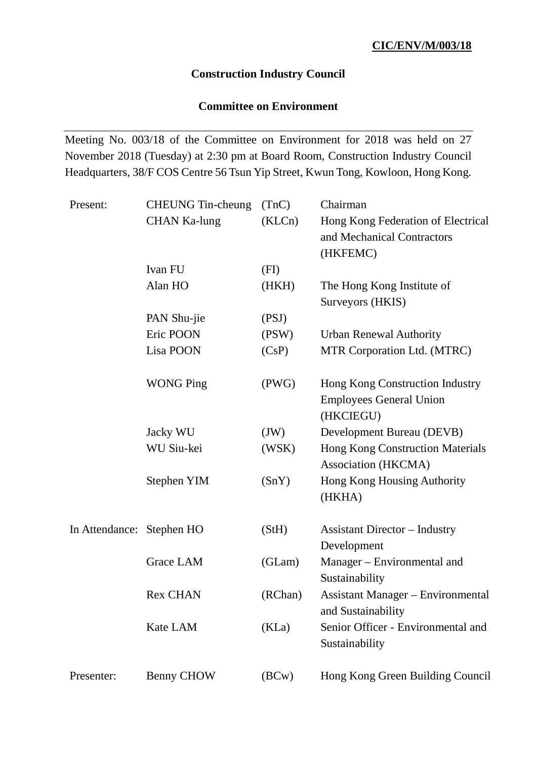## **Construction Industry Council**

## **Committee on Environment**

Meeting No. 003/18 of the Committee on Environment for 2018 was held on 27 November 2018 (Tuesday) at 2:30 pm at Board Room, Construction Industry Council Headquarters, 38/F COS Centre 56 Tsun Yip Street, Kwun Tong, Kowloon, Hong Kong.

| Present:                  | <b>CHEUNG</b> Tin-cheung | (TnC)   | Chairman                                                                       |
|---------------------------|--------------------------|---------|--------------------------------------------------------------------------------|
|                           | <b>CHAN Ka-lung</b>      | (KLCn)  | Hong Kong Federation of Electrical<br>and Mechanical Contractors<br>(HKFEMC)   |
|                           | Ivan FU                  | (FI)    |                                                                                |
|                           | Alan HO                  | (HKH)   | The Hong Kong Institute of<br>Surveyors (HKIS)                                 |
|                           | PAN Shu-jie              | (PSJ)   |                                                                                |
|                           | Eric POON                | (PSW)   | <b>Urban Renewal Authority</b>                                                 |
|                           | Lisa POON                | (CsP)   | MTR Corporation Ltd. (MTRC)                                                    |
|                           | <b>WONG Ping</b>         | (PWG)   | Hong Kong Construction Industry<br><b>Employees General Union</b><br>(HKCIEGU) |
|                           | Jacky WU                 | (JW)    | Development Bureau (DEVB)                                                      |
|                           | WU Siu-kei               | (WSK)   | <b>Hong Kong Construction Materials</b><br>Association (HKCMA)                 |
|                           | Stephen YIM              | (SnY)   | Hong Kong Housing Authority<br>(HKHA)                                          |
| In Attendance: Stephen HO |                          | (StH)   | <b>Assistant Director – Industry</b><br>Development                            |
|                           | Grace LAM                | (GLam)  | Manager – Environmental and<br>Sustainability                                  |
|                           | <b>Rex CHAN</b>          | (RChan) | <b>Assistant Manager - Environmental</b><br>and Sustainability                 |
|                           | Kate LAM                 | (KLa)   | Senior Officer - Environmental and<br>Sustainability                           |
| Presenter:                | <b>Benny CHOW</b>        | (BCW)   | Hong Kong Green Building Council                                               |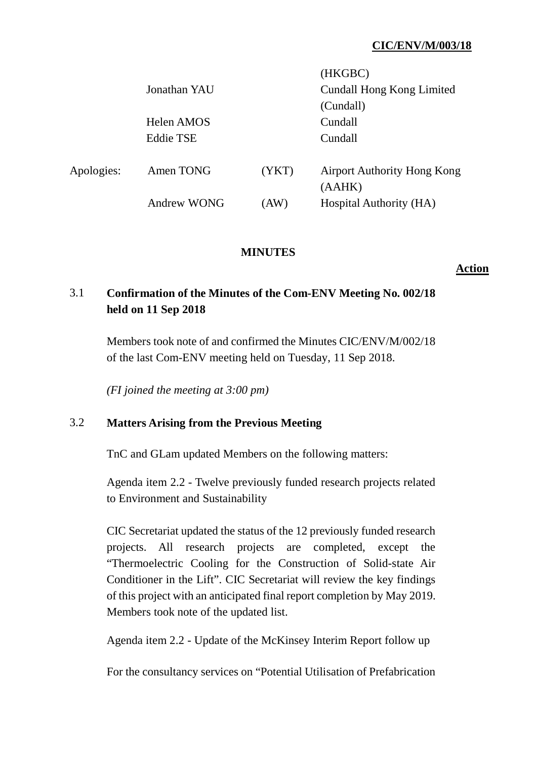## **CIC/ENV/M/003/18**

 $(TITZ)$ 

|            |                    |       | (HKUBU)                                      |
|------------|--------------------|-------|----------------------------------------------|
|            | Jonathan YAU       |       | <b>Cundall Hong Kong Limited</b>             |
|            |                    |       | (Cundall)                                    |
|            | Helen AMOS         |       | Cundall                                      |
|            | <b>Eddie TSE</b>   |       | Cundall                                      |
| Apologies: | Amen TONG          | (YKT) | <b>Airport Authority Hong Kong</b><br>(AAHK) |
|            | <b>Andrew WONG</b> | (AW)  | Hospital Authority (HA)                      |

#### **MINUTES**

**Action**

# 3.1 **Confirmation of the Minutes of the Com-ENV Meeting No. 002/18 held on 11 Sep 2018**

Members took note of and confirmed the Minutes CIC/ENV/M/002/18 of the last Com-ENV meeting held on Tuesday, 11 Sep 2018.

*(FI joined the meeting at 3:00 pm)*

#### 3.2 **Matters Arising from the Previous Meeting**

TnC and GLam updated Members on the following matters:

Agenda item 2.2 - Twelve previously funded research projects related to Environment and Sustainability

CIC Secretariat updated the status of the 12 previously funded research projects. All research projects are completed, except the "Thermoelectric Cooling for the Construction of Solid-state Air Conditioner in the Lift". CIC Secretariat will review the key findings of this project with an anticipated final report completion by May 2019. Members took note of the updated list.

Agenda item 2.2 - Update of the McKinsey Interim Report follow up

For the consultancy services on "Potential Utilisation of Prefabrication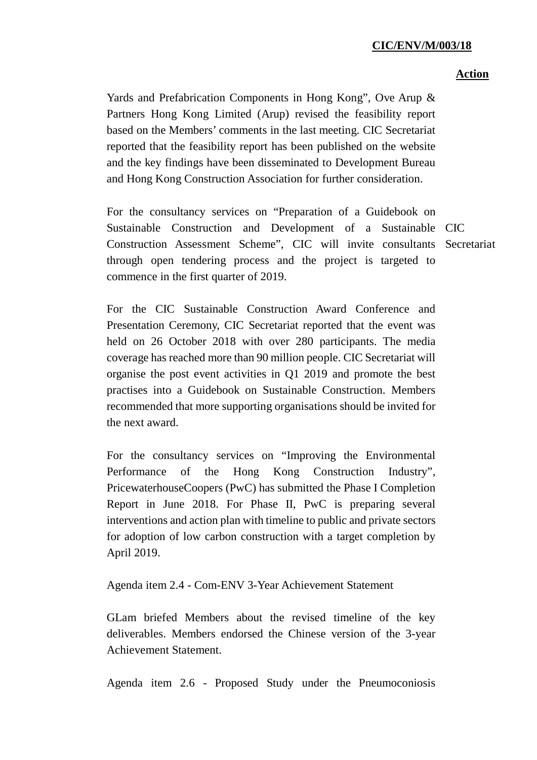#### **CIC/ENV/M/003/18**

#### **Action**

Yards and Prefabrication Components in Hong Kong", Ove Arup & Partners Hong Kong Limited (Arup) revised the feasibility report based on the Members' comments in the last meeting. CIC Secretariat reported that the feasibility report has been published on the website and the key findings have been disseminated to Development Bureau and Hong Kong Construction Association for further consideration.

For the consultancy services on "Preparation of a Guidebook on Sustainable Construction and Development of a Sustainable CIC Construction Assessment Scheme", CIC will invite consultants Secretariatthrough open tendering process and the project is targeted to commence in the first quarter of 2019.

For the CIC Sustainable Construction Award Conference and Presentation Ceremony, CIC Secretariat reported that the event was held on 26 October 2018 with over 280 participants. The media coverage has reached more than 90 million people. CIC Secretariat will organise the post event activities in Q1 2019 and promote the best practises into a Guidebook on Sustainable Construction. Members recommended that more supporting organisations should be invited for the next award.

For the consultancy services on "Improving the Environmental Performance of the Hong Kong Construction Industry", PricewaterhouseCoopers (PwC) has submitted the Phase I Completion Report in June 2018. For Phase II, PwC is preparing several interventions and action plan with timeline to public and private sectors for adoption of low carbon construction with a target completion by April 2019.

Agenda item 2.4 - Com-ENV 3-Year Achievement Statement

GLam briefed Members about the revised timeline of the key deliverables. Members endorsed the Chinese version of the 3-year Achievement Statement.

Agenda item 2.6 - Proposed Study under the Pneumoconiosis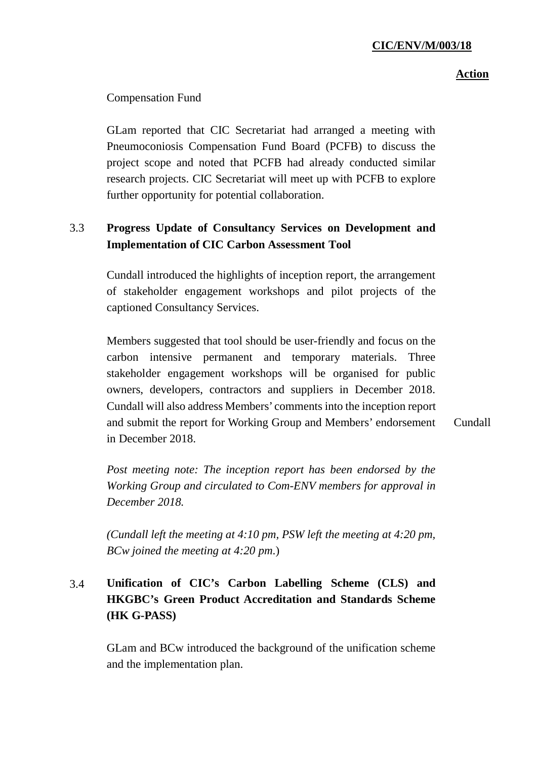#### **Action**

### Compensation Fund

GLam reported that CIC Secretariat had arranged a meeting with Pneumoconiosis Compensation Fund Board (PCFB) to discuss the project scope and noted that PCFB had already conducted similar research projects. CIC Secretariat will meet up with PCFB to explore further opportunity for potential collaboration.

## 3.3 **Progress Update of Consultancy Services on Development and Implementation of CIC Carbon Assessment Tool**

Cundall introduced the highlights of inception report, the arrangement of stakeholder engagement workshops and pilot projects of the captioned Consultancy Services.

Members suggested that tool should be user-friendly and focus on the carbon intensive permanent and temporary materials. Three stakeholder engagement workshops will be organised for public owners, developers, contractors and suppliers in December 2018. Cundall will also address Members' comments into the inception report and submit the report for Working Group and Members' endorsement in December 2018. Cundall

*Post meeting note: The inception report has been endorsed by the Working Group and circulated to Com-ENV members for approval in December 2018.*

*(Cundall left the meeting at 4:10 pm, PSW left the meeting at 4:20 pm, BCw joined the meeting at 4:20 pm*.)

# 3.4 **Unification of CIC's Carbon Labelling Scheme (CLS) and HKGBC's Green Product Accreditation and Standards Scheme (HK G-PASS)**

GLam and BCw introduced the background of the unification scheme and the implementation plan.